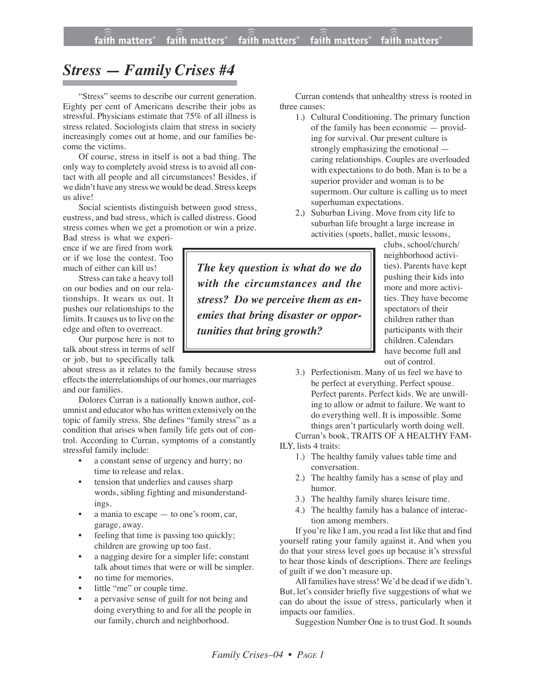## *Stress — Family Crises #4*

"Stress" seems to describe our current generation. Eighty per cent of Americans describe their jobs as stressful. Physicians estimate that 75% of all illness is stress related. Sociologists claim that stress in society increasingly comes out at home, and our families become the victims.

Of course, stress in itself is not a bad thing. The only way to completely avoid stress is to avoid all contact with all people and all circumstances! Besides, if we didn't have any stress we would be dead. Stress keeps us alive!

Social scientists distinguish between good stress, eustress, and bad stress, which is called distress. Good stress comes when we get a promotion or win a prize.

Bad stress is what we experience if we are fired from work or if we lose the contest. Too much of either can kill us!

Stress can take a heavy toll on our bodies and on our relationships. It wears us out. It pushes our relationships to the limits. It causes us to live on the edge and often to overreact.

Our purpose here is not to talk about stress in terms of self or job, but to specifically talk

about stress as it relates to the family because stress effects the interrelationships of our homes, our marriages and our families.

Dolores Curran is a nationally known author, columnist and educator who has written extensively on the topic of family stress. She defines "family stress" as a condition that arises when family life gets out of control. According to Curran, symptoms of a constantly stressful family include:

- a constant sense of urgency and hurry; no time to release and relax.
- tension that underlies and causes sharp words, sibling fighting and misunderstandings.
- a mania to escape  $-$  to one's room, car, garage, away.
- feeling that time is passing too quickly; children are growing up too fast.
- a nagging desire for a simpler life; constant talk about times that were or will be simpler.
- no time for memories.
- little "me" or couple time.
- a pervasive sense of guilt for not being and doing everything to and for all the people in our family, church and neighborhood.

Curran contends that unhealthy stress is rooted in three causes:

- 1.) Cultural Conditioning. The primary function of the family has been economic — providing for survival. Our present culture is strongly emphasizing the emotional caring relationships. Couples are overloaded with expectations to do both. Man is to be a superior provider and woman is to be supermom. Our culture is calling us to meet superhuman expectations.
- 2.) Suburban Living. Move from city life to suburban life brought a large increase in activities (sports, ballet, music lessons,

clubs, school/church/ neighborhood activities). Parents have kept pushing their kids into more and more activities. They have become spectators of their children rather than participants with their children. Calendars have become full and out of control.

3.) Perfectionism. Many of us feel we have to be perfect at everything. Perfect spouse. Perfect parents. Perfect kids. We are unwilling to allow or admit to failure. We want to do everything well. It is impossible. Some things aren't particularly worth doing well. Curran's book, TRAITS OF A HEALTHY FAM-

ILY, lists 4 traits:

- 1.) The healthy family values table time and conversation.
- 2.) The healthy family has a sense of play and humor.
- 3.) The healthy family shares leisure time.
- 4.) The healthy family has a balance of interaction among members.

If you're like I am, you read a list like that and find yourself rating your family against it. And when you do that your stress level goes up because it's stressful to hear those kinds of descriptions. There are feelings of guilt if we don't measure up.

All families have stress! We'd be dead if we didn't. But, let's consider briefly five suggestions of what we can do about the issue of stress, particularly when it impacts our families.

Suggestion Number One is to trust God. It sounds

*stress? Do we perceive them as enemies that bring disaster or opportunities that bring growth?*

*The key question is what do we do with the circumstances and the*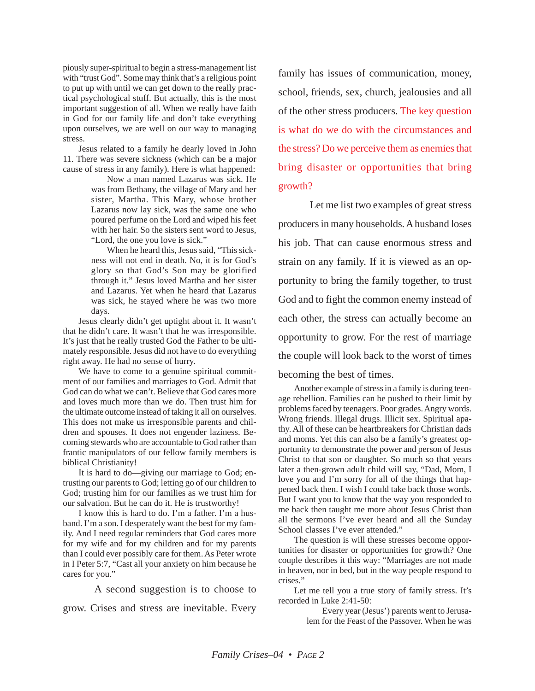piously super-spiritual to begin a stress-management list with "trust God". Some may think that's a religious point to put up with until we can get down to the really practical psychological stuff. But actually, this is the most important suggestion of all. When we really have faith in God for our family life and don't take everything upon ourselves, we are well on our way to managing stress.

Jesus related to a family he dearly loved in John 11. There was severe sickness (which can be a major cause of stress in any family). Here is what happened:

> Now a man named Lazarus was sick. He was from Bethany, the village of Mary and her sister, Martha. This Mary, whose brother Lazarus now lay sick, was the same one who poured perfume on the Lord and wiped his feet with her hair. So the sisters sent word to Jesus, "Lord, the one you love is sick."

> When he heard this, Jesus said, "This sickness will not end in death. No, it is for God's glory so that God's Son may be glorified through it." Jesus loved Martha and her sister and Lazarus. Yet when he heard that Lazarus was sick, he stayed where he was two more days.

Jesus clearly didn't get uptight about it. It wasn't that he didn't care. It wasn't that he was irresponsible. It's just that he really trusted God the Father to be ultimately responsible. Jesus did not have to do everything right away. He had no sense of hurry.

We have to come to a genuine spiritual commitment of our families and marriages to God. Admit that God can do what we can't. Believe that God cares more and loves much more than we do. Then trust him for the ultimate outcome instead of taking it all on ourselves. This does not make us irresponsible parents and children and spouses. It does not engender laziness. Becoming stewards who are accountable to God rather than frantic manipulators of our fellow family members is biblical Christianity!

It is hard to do—giving our marriage to God; entrusting our parents to God; letting go of our children to God; trusting him for our families as we trust him for our salvation. But he can do it. He is trustworthy!

I know this is hard to do. I'm a father. I'm a husband. I'm a son. I desperately want the best for my family. And I need regular reminders that God cares more for my wife and for my children and for my parents than I could ever possibly care for them. As Peter wrote in I Peter 5:7, "Cast all your anxiety on him because he cares for you."

A second suggestion is to choose to

grow. Crises and stress are inevitable. Every

family has issues of communication, money, school, friends, sex, church, jealousies and all of the other stress producers. The key question is what do we do with the circumstances and the stress? Do we perceive them as enemies that bring disaster or opportunities that bring growth?

Let me list two examples of great stress producers in many households. A husband loses his job. That can cause enormous stress and strain on any family. If it is viewed as an opportunity to bring the family together, to trust God and to fight the common enemy instead of each other, the stress can actually become an opportunity to grow. For the rest of marriage the couple will look back to the worst of times becoming the best of times.

Another example of stress in a family is during teenage rebellion. Families can be pushed to their limit by problems faced by teenagers. Poor grades. Angry words. Wrong friends. Illegal drugs. Illicit sex. Spiritual apathy. All of these can be heartbreakers for Christian dads and moms. Yet this can also be a family's greatest opportunity to demonstrate the power and person of Jesus Christ to that son or daughter. So much so that years later a then-grown adult child will say, "Dad, Mom, I love you and I'm sorry for all of the things that happened back then. I wish I could take back those words. But I want you to know that the way you responded to me back then taught me more about Jesus Christ than all the sermons  $\tilde{I}$ 've ever heard and all the Sunday School classes I've ever attended."

The question is will these stresses become opportunities for disaster or opportunities for growth? One couple describes it this way: "Marriages are not made in heaven, nor in bed, but in the way people respond to crises."

Let me tell you a true story of family stress. It's recorded in Luke 2:41-50:

> Every year (Jesus') parents went to Jerusalem for the Feast of the Passover. When he was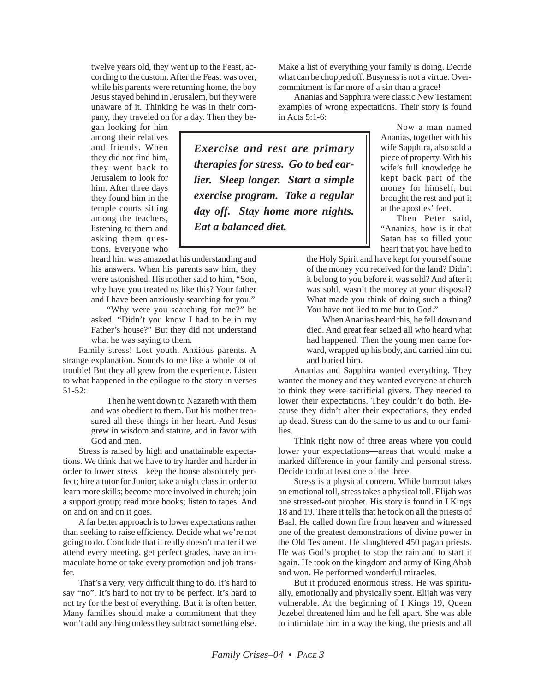twelve years old, they went up to the Feast, according to the custom. After the Feast was over, while his parents were returning home, the boy Jesus stayed behind in Jerusalem, but they were unaware of it. Thinking he was in their company, they traveled on for a day. Then they be-

gan looking for him among their relatives and friends. When they did not find him, they went back to Jerusalem to look for him. After three days they found him in the temple courts sitting among the teachers, listening to them and asking them questions. Everyone who

heard him was amazed at his understanding and his answers. When his parents saw him, they were astonished. His mother said to him, "Son, why have you treated us like this? Your father and I have been anxiously searching for you."

"Why were you searching for me?" he asked. "Didn't you know I had to be in my Father's house?" But they did not understand what he was saying to them.

Family stress! Lost youth. Anxious parents. A strange explanation. Sounds to me like a whole lot of trouble! But they all grew from the experience. Listen to what happened in the epilogue to the story in verses 51-52:

> Then he went down to Nazareth with them and was obedient to them. But his mother treasured all these things in her heart. And Jesus grew in wisdom and stature, and in favor with God and men.

Stress is raised by high and unattainable expectations. We think that we have to try harder and harder in order to lower stress—keep the house absolutely perfect; hire a tutor for Junior; take a night class in order to learn more skills; become more involved in church; join a support group; read more books; listen to tapes. And on and on and on it goes.

A far better approach is to lower expectations rather than seeking to raise efficiency. Decide what we're not going to do. Conclude that it really doesn't matter if we attend every meeting, get perfect grades, have an immaculate home or take every promotion and job transfer.

That's a very, very difficult thing to do. It's hard to say "no". It's hard to not try to be perfect. It's hard to not try for the best of everything. But it is often better. Many families should make a commitment that they won't add anything unless they subtract something else.

Make a list of everything your family is doing. Decide what can be chopped off. Busyness is not a virtue. Overcommitment is far more of a sin than a grace!

Ananias and Sapphira were classic New Testament examples of wrong expectations. Their story is found in Acts 5:1-6:

*Exercise and rest are primary therapies for stress. Go to bed earlier. Sleep longer. Start a simple exercise program. Take a regular day off. Stay home more nights. Eat a balanced diet.*

Now a man named Ananias, together with his wife Sapphira, also sold a piece of property. With his wife's full knowledge he kept back part of the money for himself, but brought the rest and put it at the apostles' feet.

Then Peter said, "Ananias, how is it that Satan has so filled your heart that you have lied to

the Holy Spirit and have kept for yourself some of the money you received for the land? Didn't it belong to you before it was sold? And after it was sold, wasn't the money at your disposal? What made you think of doing such a thing? You have not lied to me but to God."

When Ananias heard this, he fell down and died. And great fear seized all who heard what had happened. Then the young men came forward, wrapped up his body, and carried him out and buried him.

Ananias and Sapphira wanted everything. They wanted the money and they wanted everyone at church to think they were sacrificial givers. They needed to lower their expectations. They couldn't do both. Because they didn't alter their expectations, they ended up dead. Stress can do the same to us and to our families.

Think right now of three areas where you could lower your expectations—areas that would make a marked difference in your family and personal stress. Decide to do at least one of the three.

Stress is a physical concern. While burnout takes an emotional toll, stress takes a physical toll. Elijah was one stressed-out prophet. His story is found in I Kings 18 and 19. There it tells that he took on all the priests of Baal. He called down fire from heaven and witnessed one of the greatest demonstrations of divine power in the Old Testament. He slaughtered 450 pagan priests. He was God's prophet to stop the rain and to start it again. He took on the kingdom and army of King Ahab and won. He performed wonderful miracles.

But it produced enormous stress. He was spiritually, emotionally and physically spent. Elijah was very vulnerable. At the beginning of I Kings 19, Queen Jezebel threatened him and he fell apart. She was able to intimidate him in a way the king, the priests and all